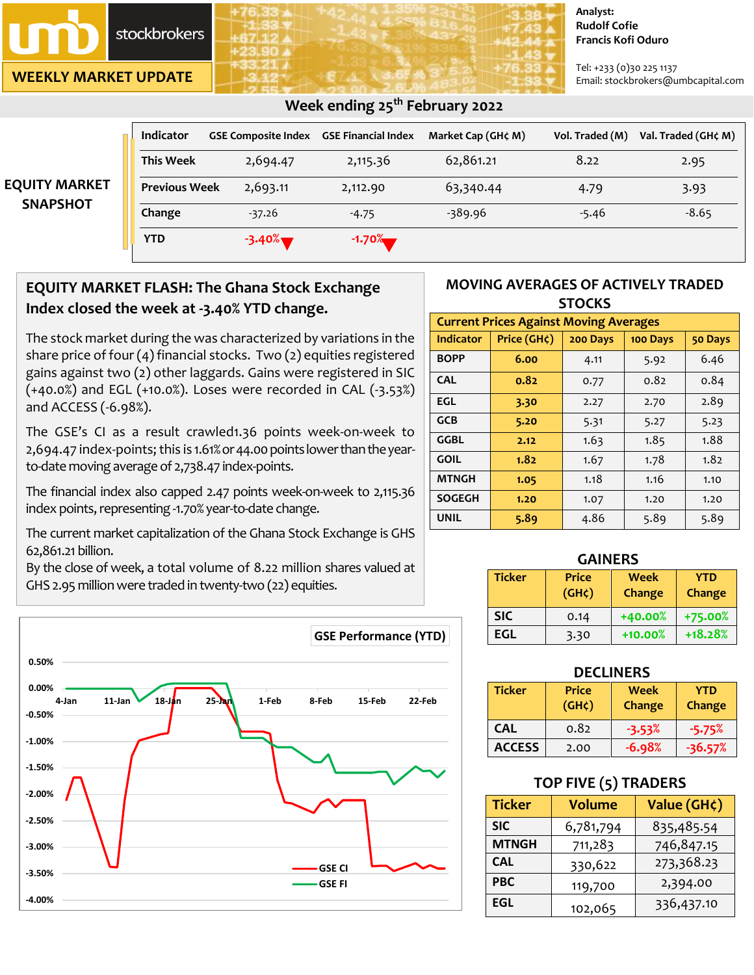stockbrokers

**WEEKLY MARKET UPDATE**

#### **Analyst: Rudolf Cofie Francis Kofi Oduro**

Tel: +233 (0)30 225 1137 Email: stockbrokers@umbcapital.com

| <b>EQUITY MARKET</b><br><b>SNAPSHOT</b> | <b>Indicator</b>     | <b>GSE Composite Index GSE Financial Index</b> |          | Market Cap (GH¢ M) | Vol. Traded (M) | Val. Traded (GH¢ M) |
|-----------------------------------------|----------------------|------------------------------------------------|----------|--------------------|-----------------|---------------------|
|                                         | <b>This Week</b>     | 2,694.47                                       | 2,115.36 | 62,861.21          | 8.22            | 2.95                |
|                                         | <b>Previous Week</b> | 2,693.11                                       | 2,112.90 | 63,340.44          | 4.79            | 3.93                |
|                                         | Change               | $-37.26$                                       | $-4.75$  | -389.96            | $-5.46$         | $-8.65$             |
|                                         | <b>YTD</b>           | $-3.40\%$                                      | $-1.70%$ |                    |                 |                     |

## **EQUITY MARKET FLASH: The Ghana Stock Exchange Index closed the week at -3.40% YTD change.**

The stock market during the was characterized by variations in the share price of four (4) financial stocks. Two (2) equities registered gains against two (2) other laggards. Gains were registered in SIC (+40.0%) and EGL (+10.0%). Loses were recorded in CAL (-3.53%) and ACCESS (-6.98%).

The GSE's CI as a result crawled1.36 points week-on-week to 2,694.47 index-points; this is 1.61% or 44.00 points lower than the yearto-date moving average of 2,738.47 index-points.

The financial index also capped 2.47 points week-on-week to 2,115.36 index points, representing -1.70% year-to-date change.

The current market capitalization of the Ghana Stock Exchange is GHS 62,861.21 billion.

By the close of week, a total volume of 8.22 million shares valued at GHS 2.95 million were traded in twenty-two (22) equities.



### **MOVING AVERAGES OF ACTIVELY TRADED STOCKS**

| <b>Current Prices Against Moving Averages</b> |             |          |          |         |  |
|-----------------------------------------------|-------------|----------|----------|---------|--|
| <b>Indicator</b>                              | Price (GH¢) | 200 Days | 100 Days | 50 Days |  |
| <b>BOPP</b>                                   | 6.00        | 4.11     | 5.92     | 6.46    |  |
| <b>CAL</b>                                    | 0.82        | 0.77     | 0.82     | 0.84    |  |
| EGL                                           | 3.30        | 2.27     | 2.70     | 2.89    |  |
| <b>GCB</b>                                    | 5.20        | 5.31     | 5.27     | 5.23    |  |
| GGBL                                          | 2.12        | 1.63     | 1.85     | 1.88    |  |
| <b>GOIL</b>                                   | 1.82        | 1.67     | 1.78     | 1.82    |  |
| <b>MTNGH</b>                                  | 1.05        | 1.18     | 1.16     | 1.10    |  |
| <b>SOGEGH</b>                                 | 1.20        | 1.07     | 1.20     | 1.20    |  |
| <b>UNIL</b>                                   | 5.89        | 4.86     | 5.89     | 5.89    |  |

| <b>GAINERS</b> |                             |                |                      |  |
|----------------|-----------------------------|----------------|----------------------|--|
| <b>Ticker</b>  | <b>Price</b><br>$(GH\zeta)$ | Week<br>Change | <b>YTD</b><br>Change |  |
| <b>SIC</b>     | 0.14                        | +40.00%        | +75.00%              |  |
| EGL            | 3.30                        | $+10.00%$      | $+18.28%$            |  |

| <b>DECLINERS</b> |                                    |                |                      |  |
|------------------|------------------------------------|----------------|----------------------|--|
| <b>Ticker</b>    | <b>Price</b><br>(GH <sub>c</sub> ) | Week<br>Change | <b>YTD</b><br>Change |  |
| <b>CAL</b>       | 0.82                               | $-3.53%$       | $-5.75%$             |  |
| <b>ACCESS</b>    | 2.00                               | $-6.98%$       | $-36.57%$            |  |

### **TOP FIVE (5) TRADERS**

| <b>Ticker</b> | <b>Volume</b> | Value (GH¢) |
|---------------|---------------|-------------|
| <b>SIC</b>    | 6,781,794     | 835,485.54  |
| <b>MTNGH</b>  | 711,283       | 746,847.15  |
| <b>CAL</b>    | 330,622       | 273,368.23  |
| <b>PBC</b>    | 119,700       | 2,394.00    |
| <b>EGL</b>    | 102,065       | 336,437.10  |

### **Week ending 25th February 2022**